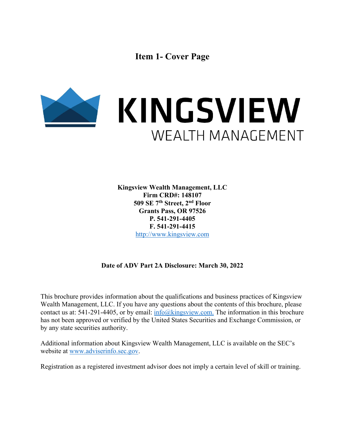**Item 1- Cover Page** 



**Kingsview Wealth Management, LLC Firm CRD#: 148107 509 SE 7th Street, 2nd Floor Grants Pass, OR 97526 P. 541-291-4405 F. 541-291-4415**  http://www.kingsview.com

## **Date of ADV Part 2A Disclosure: March 30, 2022**

This brochure provides information about the qualifications and business practices of Kingsview Wealth Management, LLC. If you have any questions about the contents of this brochure, please contact us at: 541-291-4405, or by email:  $info@kingsview.com$ . The information in this brochure has not been approved or verified by the United States Securities and Exchange Commission, or by any state securities authority.

Additional information about Kingsview Wealth Management, LLC is available on the SEC's website at www.adviserinfo.sec.gov.

Registration as a registered investment advisor does not imply a certain level of skill or training.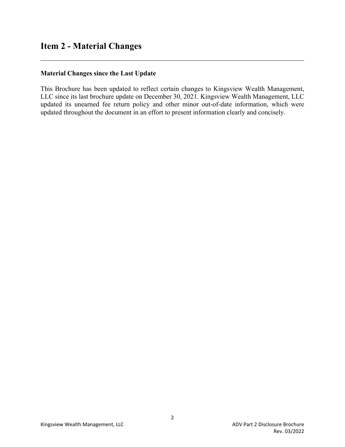## **Item 2 - Material Changes**

l

#### **Material Changes since the Last Update**

This Brochure has been updated to reflect certain changes to Kingsview Wealth Management, LLC since its last brochure update on December 30, 2021. Kingsview Wealth Management, LLC updated its unearned fee return policy and other minor out-of-date information, which were updated throughout the document in an effort to present information clearly and concisely.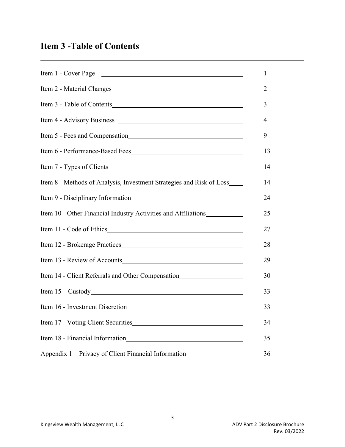# **Item 3 -Table of Contents**

l

| Item 1 - Cover Page                                                               |  |
|-----------------------------------------------------------------------------------|--|
|                                                                                   |  |
| Item 3 - Table of Contents                                                        |  |
|                                                                                   |  |
| Item 5 - Fees and Compensation<br><u>Letter</u> 2020                              |  |
|                                                                                   |  |
| Item 7 - Types of Clients                                                         |  |
| Item 8 - Methods of Analysis, Investment Strategies and Risk of Loss_             |  |
| Item 9 - Disciplinary Information                                                 |  |
| Item 10 - Other Financial Industry Activities and Affiliations                    |  |
|                                                                                   |  |
|                                                                                   |  |
|                                                                                   |  |
| Item 14 - Client Referrals and Other Compensation                                 |  |
|                                                                                   |  |
|                                                                                   |  |
| Item 17 - Voting Client Securities                                                |  |
|                                                                                   |  |
| Appendix 1 - Privacy of Client Financial Information_____________________________ |  |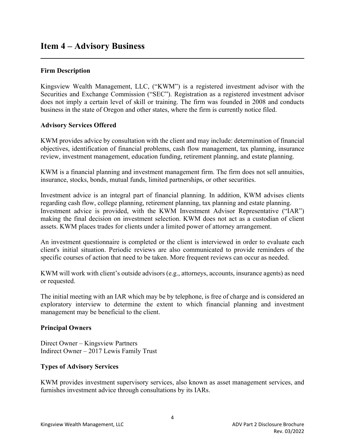#### **Firm Description**

Kingsview Wealth Management, LLC, ("KWM") is a registered investment advisor with the Securities and Exchange Commission ("SEC"). Registration as a registered investment advisor does not imply a certain level of skill or training. The firm was founded in 2008 and conducts business in the state of Oregon and other states, where the firm is currently notice filed.

#### **Advisory Services Offered**

KWM provides advice by consultation with the client and may include: determination of financial objectives, identification of financial problems, cash flow management, tax planning, insurance review, investment management, education funding, retirement planning, and estate planning.

KWM is a financial planning and investment management firm. The firm does not sell annuities, insurance, stocks, bonds, mutual funds, limited partnerships, or other securities.

Investment advice is an integral part of financial planning. In addition, KWM advises clients regarding cash flow, college planning, retirement planning, tax planning and estate planning. Investment advice is provided, with the KWM Investment Advisor Representative ("IAR") making the final decision on investment selection. KWM does not act as a custodian of client assets. KWM places trades for clients under a limited power of attorney arrangement.

An investment questionnaire is completed or the client is interviewed in order to evaluate each client's initial situation. Periodic reviews are also communicated to provide reminders of the specific courses of action that need to be taken. More frequent reviews can occur as needed.

KWM will work with client's outside advisors (e.g., attorneys, accounts, insurance agents) as need or requested.

The initial meeting with an IAR which may be by telephone, is free of charge and is considered an exploratory interview to determine the extent to which financial planning and investment management may be beneficial to the client.

### **Principal Owners**

Direct Owner – Kingsview Partners Indirect Owner – 2017 Lewis Family Trust

### **Types of Advisory Services**

KWM provides investment supervisory services, also known as asset management services, and furnishes investment advice through consultations by its IARs.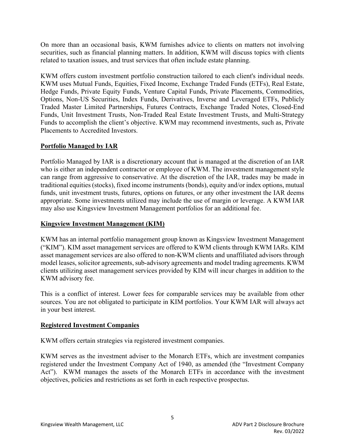On more than an occasional basis, KWM furnishes advice to clients on matters not involving securities, such as financial planning matters. In addition, KWM will discuss topics with clients related to taxation issues, and trust services that often include estate planning.

KWM offers custom investment portfolio construction tailored to each client's individual needs. KWM uses Mutual Funds, Equities, Fixed Income, Exchange Traded Funds (ETFs), Real Estate, Hedge Funds, Private Equity Funds, Venture Capital Funds, Private Placements, Commodities, Options, Non-US Securities, Index Funds, Derivatives, Inverse and Leveraged ETFs, Publicly Traded Master Limited Partnerships, Futures Contracts, Exchange Traded Notes, Closed-End Funds, Unit Investment Trusts, Non-Traded Real Estate Investment Trusts, and Multi-Strategy Funds to accomplish the client's objective. KWM may recommend investments, such as, Private Placements to Accredited Investors.

## **Portfolio Managed by IAR**

Portfolio Managed by IAR is a discretionary account that is managed at the discretion of an IAR who is either an independent contractor or employee of KWM. The investment management style can range from aggressive to conservative. At the discretion of the IAR, trades may be made in traditional equities (stocks), fixed income instruments (bonds), equity and/or index options, mutual funds, unit investment trusts, futures, options on futures, or any other investment the IAR deems appropriate. Some investments utilized may include the use of margin or leverage. A KWM IAR may also use Kingsview Investment Management portfolios for an additional fee.

## **Kingsview Investment Management (KIM)**

KWM has an internal portfolio management group known as Kingsview Investment Management ("KIM"). KIM asset management services are offered to KWM clients through KWM IARs. KIM asset management services are also offered to non-KWM clients and unaffiliated advisors through model leases, solicitor agreements, sub-advisory agreements and model trading agreements. KWM clients utilizing asset management services provided by KIM will incur charges in addition to the KWM advisory fee.

This is a conflict of interest. Lower fees for comparable services may be available from other sources. You are not obligated to participate in KIM portfolios. Your KWM IAR will always act in your best interest.

## **Registered Investment Companies**

KWM offers certain strategies via registered investment companies.

KWM serves as the investment adviser to the Monarch ETFs, which are investment companies registered under the Investment Company Act of 1940, as amended (the "Investment Company Act"). KWM manages the assets of the Monarch ETFs in accordance with the investment objectives, policies and restrictions as set forth in each respective prospectus.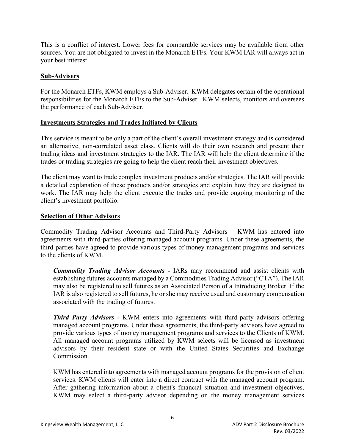This is a conflict of interest. Lower fees for comparable services may be available from other sources. You are not obligated to invest in the Monarch ETFs. Your KWM IAR will always act in your best interest.

#### **Sub-Advisers**

For the Monarch ETFs, KWM employs a Sub-Adviser. KWM delegates certain of the operational responsibilities for the Monarch ETFs to the Sub-Adviser. KWM selects, monitors and oversees the performance of each Sub-Adviser.

#### **Investments Strategies and Trades Initiated by Clients**

This service is meant to be only a part of the client's overall investment strategy and is considered an alternative, non-correlated asset class. Clients will do their own research and present their trading ideas and investment strategies to the IAR. The IAR will help the client determine if the trades or trading strategies are going to help the client reach their investment objectives.

The client may want to trade complex investment products and/or strategies. The IAR will provide a detailed explanation of these products and/or strategies and explain how they are designed to work. The IAR may help the client execute the trades and provide ongoing monitoring of the client's investment portfolio.

#### **Selection of Other Advisors**

Commodity Trading Advisor Accounts and Third-Party Advisors – KWM has entered into agreements with third-parties offering managed account programs. Under these agreements, the third-parties have agreed to provide various types of money management programs and services to the clients of KWM.

*Commodity Trading Advisor Accounts -* IARs may recommend and assist clients with establishing futures accounts managed by a Commodities Trading Advisor ("CTA"). The IAR may also be registered to sell futures as an Associated Person of a Introducing Broker. If the IAR is also registered to sell futures, he or she may receive usual and customary compensation associated with the trading of futures.

*Third Party Advisors -* KWM enters into agreements with third-party advisors offering managed account programs. Under these agreements, the third-party advisors have agreed to provide various types of money management programs and services to the Clients of KWM. All managed account programs utilized by KWM selects will be licensed as investment advisors by their resident state or with the United States Securities and Exchange Commission.

KWM has entered into agreements with managed account programs for the provision of client services. KWM clients will enter into a direct contract with the managed account program. After gathering information about a client's financial situation and investment objectives, KWM may select a third-party advisor depending on the money management services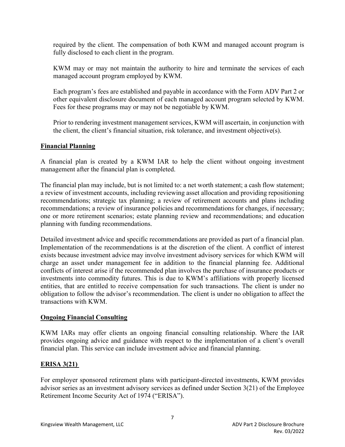required by the client. The compensation of both KWM and managed account program is fully disclosed to each client in the program.

KWM may or may not maintain the authority to hire and terminate the services of each managed account program employed by KWM.

Each program's fees are established and payable in accordance with the Form ADV Part 2 or other equivalent disclosure document of each managed account program selected by KWM. Fees for these programs may or may not be negotiable by KWM.

Prior to rendering investment management services, KWM will ascertain, in conjunction with the client, the client's financial situation, risk tolerance, and investment objective(s).

#### **Financial Planning**

A financial plan is created by a KWM IAR to help the client without ongoing investment management after the financial plan is completed.

The financial plan may include, but is not limited to: a net worth statement; a cash flow statement; a review of investment accounts, including reviewing asset allocation and providing repositioning recommendations; strategic tax planning; a review of retirement accounts and plans including recommendations; a review of insurance policies and recommendations for changes, if necessary; one or more retirement scenarios; estate planning review and recommendations; and education planning with funding recommendations.

Detailed investment advice and specific recommendations are provided as part of a financial plan. Implementation of the recommendations is at the discretion of the client. A conflict of interest exists because investment advice may involve investment advisory services for which KWM will charge an asset under management fee in addition to the financial planning fee. Additional conflicts of interest arise if the recommended plan involves the purchase of insurance products or investments into commodity futures. This is due to KWM's affiliations with properly licensed entities, that are entitled to receive compensation for such transactions. The client is under no obligation to follow the advisor's recommendation. The client is under no obligation to affect the transactions with KWM.

#### **Ongoing Financial Consulting**

KWM IARs may offer clients an ongoing financial consulting relationship. Where the IAR provides ongoing advice and guidance with respect to the implementation of a client's overall financial plan. This service can include investment advice and financial planning.

### **ERISA 3(21)**

For employer sponsored retirement plans with participant-directed investments, KWM provides advisor series as an investment advisory services as defined under Section 3(21) of the Employee Retirement Income Security Act of 1974 ("ERISA").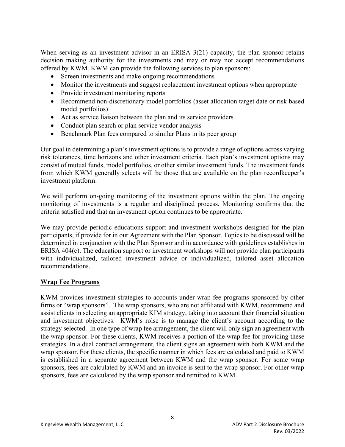When serving as an investment advisor in an ERISA 3(21) capacity, the plan sponsor retains decision making authority for the investments and may or may not accept recommendations offered by KWM. KWM can provide the following services to plan sponsors:

- Screen investments and make ongoing recommendations
- Monitor the investments and suggest replacement investment options when appropriate
- Provide investment monitoring reports
- Recommend non-discretionary model portfolios (asset allocation target date or risk based model portfolios)
- Act as service liaison between the plan and its service providers
- Conduct plan search or plan service vendor analysis
- Benchmark Plan fees compared to similar Plans in its peer group

Our goal in determining a plan's investment options is to provide a range of options across varying risk tolerances, time horizons and other investment criteria. Each plan's investment options may consist of mutual funds, model portfolios, or other similar investment funds. The investment funds from which KWM generally selects will be those that are available on the plan recordkeeper's investment platform.

We will perform on-going monitoring of the investment options within the plan. The ongoing monitoring of investments is a regular and disciplined process. Monitoring confirms that the criteria satisfied and that an investment option continues to be appropriate.

We may provide periodic educations support and investment workshops designed for the plan participants, if provide for in our Agreement with the Plan Sponsor. Topics to be discussed will be determined in conjunction with the Plan Sponsor and in accordance with guidelines establishes in ERISA 404(c). The education support or investment workshops will not provide plan participants with individualized, tailored investment advice or individualized, tailored asset allocation recommendations.

### **Wrap Fee Programs**

KWM provides investment strategies to accounts under wrap fee programs sponsored by other firms or "wrap sponsors". The wrap sponsors, who are not affiliated with KWM, recommend and assist clients in selecting an appropriate KIM strategy, taking into account their financial situation and investment objectives. KWM's rolse is to manage the client's account according to the strategy selected. In one type of wrap fee arrangement, the client will only sign an agreement with the wrap sponsor. For these clients, KWM receives a portion of the wrap fee for providing these strategies. In a dual contract arrangement, the client signs an agreement with both KWM and the wrap sponsor. For these clients, the specific manner in which fees are calculated and paid to KWM is established in a separate agreement between KWM and the wrap sponsor. For some wrap sponsors, fees are calculated by KWM and an invoice is sent to the wrap sponsor. For other wrap sponsors, fees are calculated by the wrap sponsor and remitted to KWM.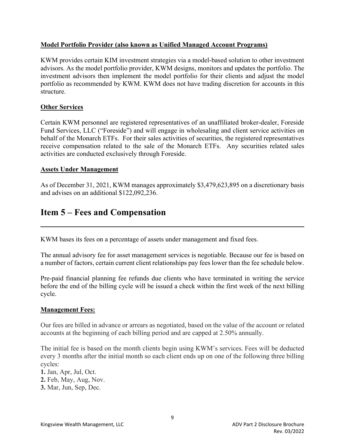#### **Model Portfolio Provider (also known as Unified Managed Account Programs)**

KWM provides certain KIM investment strategies via a model-based solution to other investment advisors. As the model portfolio provider, KWM designs, monitors and updates the portfolio. The investment advisors then implement the model portfolio for their clients and adjust the model portfolio as recommended by KWM. KWM does not have trading discretion for accounts in this structure.

#### **Other Services**

l

Certain KWM personnel are registered representatives of an unaffiliated broker-dealer, Foreside Fund Services, LLC ("Foreside") and will engage in wholesaling and client service activities on behalf of the Monarch ETFs. For their sales activities of securities, the registered representatives receive compensation related to the sale of the Monarch ETFs. Any securities related sales activities are conducted exclusively through Foreside.

#### **Assets Under Management**

As of December 31, 2021, KWM manages approximately \$3,479,623,895 on a discretionary basis and advises on an additional \$122,092,236.

## **Item 5 – Fees and Compensation**

KWM bases its fees on a percentage of assets under management and fixed fees.

The annual advisory fee for asset management services is negotiable. Because our fee is based on a number of factors, certain current client relationships pay fees lower than the fee schedule below.

Pre-paid financial planning fee refunds due clients who have terminated in writing the service before the end of the billing cycle will be issued a check within the first week of the next billing cycle.

#### **Management Fees:**

Our fees are billed in advance or arrears as negotiated, based on the value of the account or related accounts at the beginning of each billing period and are capped at 2.50% annually.

The initial fee is based on the month clients begin using KWM's services. Fees will be deducted every 3 months after the initial month so each client ends up on one of the following three billing cycles:

- **1.** Jan, Apr, Jul, Oct.
- **2.** Feb, May, Aug, Nov.
- **3.** Mar, Jun, Sep, Dec.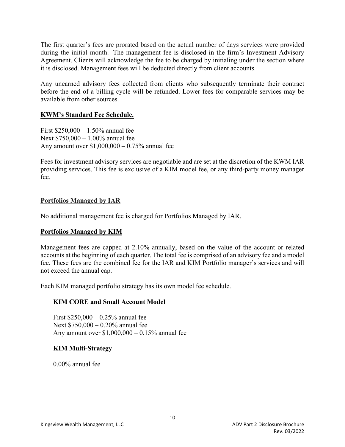The first quarter's fees are prorated based on the actual number of days services were provided during the initial month. The management fee is disclosed in the firm's Investment Advisory Agreement. Clients will acknowledge the fee to be charged by initialing under the section where it is disclosed. Management fees will be deducted directly from client accounts.

Any unearned advisory fees collected from clients who subsequently terminate their contract before the end of a billing cycle will be refunded. Lower fees for comparable services may be available from other sources.

#### **KWM's Standard Fee Schedule.**

First \$250,000 – 1.50% annual fee Next \$750,000 – 1.00% annual fee Any amount over \$1,000,000 – 0.75% annual fee

Fees for investment advisory services are negotiable and are set at the discretion of the KWM IAR providing services. This fee is exclusive of a KIM model fee, or any third-party money manager fee.

#### **Portfolios Managed by IAR**

No additional management fee is charged for Portfolios Managed by IAR.

#### **Portfolios Managed by KIM**

Management fees are capped at 2.10% annually, based on the value of the account or related accounts at the beginning of each quarter. The total fee is comprised of an advisory fee and a model fee. These fees are the combined fee for the IAR and KIM Portfolio manager's services and will not exceed the annual cap.

Each KIM managed portfolio strategy has its own model fee schedule.

### **KIM CORE and Small Account Model**

First \$250,000 – 0.25% annual fee Next \$750,000 – 0.20% annual fee Any amount over \$1,000,000 – 0.15% annual fee

#### **KIM Multi-Strategy**

0.00% annual fee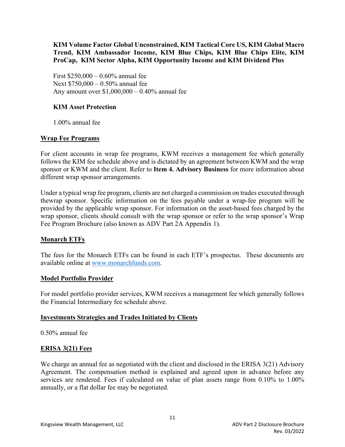### **KIM Volume Factor Global Unconstrained, KIM Tactical Core US, KIM Global Macro Trend, KIM Ambassador Income, KIM Blue Chips, KIM Blue Chips Elite, KIM ProCap, KIM Sector Alpha, KIM Opportunity Income and KIM Dividend Plus**

First \$250,000 – 0.60% annual fee Next \$750,000 – 0.50% annual fee Any amount over \$1,000,000 – 0.40% annual fee

### **KIM Asset Protection**

1.00% annual fee

### **Wrap Fee Programs**

For client accounts in wrap fee programs, KWM receives a management fee which generally follows the KIM fee schedule above and is dictated by an agreement between KWM and the wrap sponsor or KWM and the client. Refer to **Item 4. Advisory Business** for more information about different wrap sponsor arrangements.

Under a typical wrap fee program, clients are not charged a commission on trades executed through thewrap sponsor. Specific information on the fees payable under a wrap-fee program will be provided by the applicable wrap sponsor. For information on the asset-based fees charged by the wrap sponsor, clients should consult with the wrap sponsor or refer to the wrap sponsor's Wrap Fee Program Brochure (also known as ADV Part 2A Appendix 1).

### **Monarch ETFs**

The fees for the Monarch ETFs can be found in each ETF's prospectus. These documents are available online at www.monarchfunds.com.

#### **Model Portfolio Provider**

For model portfolio provider services, KWM receives a management fee which generally follows the Financial Intermediary fee schedule above.

#### **Investments Strategies and Trades Initiated by Clients**

0.50% annual fee

### **ERISA 3(21) Fees**

We charge an annual fee as negotiated with the client and disclosed in the ERISA 3(21) Advisory Agreement. The compensation method is explained and agreed upon in advance before any services are rendered. Fees if calculated on value of plan assets range from 0.10% to 1.00% annually, or a flat dollar fee may be negotiated.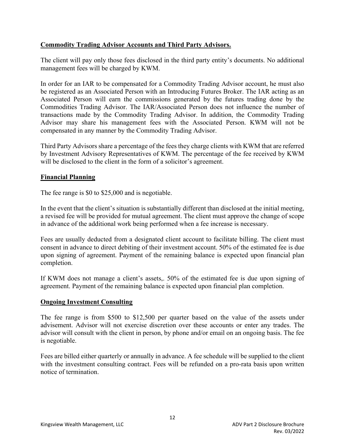### **Commodity Trading Advisor Accounts and Third Party Advisors.**

The client will pay only those fees disclosed in the third party entity's documents. No additional management fees will be charged by KWM.

In order for an IAR to be compensated for a Commodity Trading Advisor account, he must also be registered as an Associated Person with an Introducing Futures Broker. The IAR acting as an Associated Person will earn the commissions generated by the futures trading done by the Commodities Trading Advisor. The IAR/Associated Person does not influence the number of transactions made by the Commodity Trading Advisor. In addition, the Commodity Trading Advisor may share his management fees with the Associated Person. KWM will not be compensated in any manner by the Commodity Trading Advisor.

Third Party Advisors share a percentage of the fees they charge clients with KWM that are referred by Investment Advisory Representatives of KWM. The percentage of the fee received by KWM will be disclosed to the client in the form of a solicitor's agreement.

### **Financial Planning**

The fee range is \$0 to \$25,000 and is negotiable.

In the event that the client's situation is substantially different than disclosed at the initial meeting, a revised fee will be provided for mutual agreement. The client must approve the change of scope in advance of the additional work being performed when a fee increase is necessary.

Fees are usually deducted from a designated client account to facilitate billing. The client must consent in advance to direct debiting of their investment account. 50% of the estimated fee is due upon signing of agreement. Payment of the remaining balance is expected upon financial plan completion.

If KWM does not manage a client's assets,. 50% of the estimated fee is due upon signing of agreement. Payment of the remaining balance is expected upon financial plan completion.

### **Ongoing Investment Consulting**

The fee range is from \$500 to \$12,500 per quarter based on the value of the assets under advisement. Advisor will not exercise discretion over these accounts or enter any trades. The advisor will consult with the client in person, by phone and/or email on an ongoing basis. The fee is negotiable.

Fees are billed either quarterly or annually in advance. A fee schedule will be supplied to the client with the investment consulting contract. Fees will be refunded on a pro-rata basis upon written notice of termination.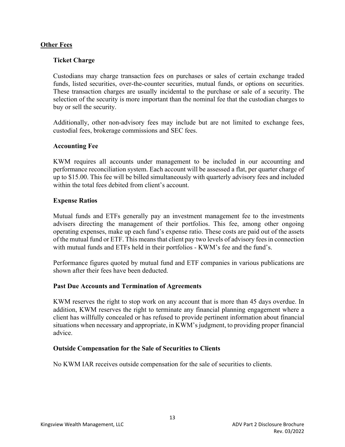#### **Other Fees**

#### **Ticket Charge**

Custodians may charge transaction fees on purchases or sales of certain exchange traded funds, listed securities, over-the-counter securities, mutual funds, or options on securities. These transaction charges are usually incidental to the purchase or sale of a security. The selection of the security is more important than the nominal fee that the custodian charges to buy or sell the security.

Additionally, other non-advisory fees may include but are not limited to exchange fees, custodial fees, brokerage commissions and SEC fees.

#### **Accounting Fee**

KWM requires all accounts under management to be included in our accounting and performance reconciliation system. Each account will be assessed a flat, per quarter charge of up to \$15.00. This fee will be billed simultaneously with quarterly advisory fees and included within the total fees debited from client's account.

#### **Expense Ratios**

Mutual funds and ETFs generally pay an investment management fee to the investments advisers directing the management of their portfolios. This fee, among other ongoing operating expenses, make up each fund's expense ratio. These costs are paid out of the assets of the mutual fund or ETF. This means that client pay two levels of advisory fees in connection with mutual funds and ETFs held in their portfolios - KWM's fee and the fund's.

Performance figures quoted by mutual fund and ETF companies in various publications are shown after their fees have been deducted.

#### **Past Due Accounts and Termination of Agreements**

KWM reserves the right to stop work on any account that is more than 45 days overdue. In addition, KWM reserves the right to terminate any financial planning engagement where a client has willfully concealed or has refused to provide pertinent information about financial situations when necessary and appropriate, in KWM's judgment, to providing proper financial advice.

#### **Outside Compensation for the Sale of Securities to Clients**

No KWM IAR receives outside compensation for the sale of securities to clients.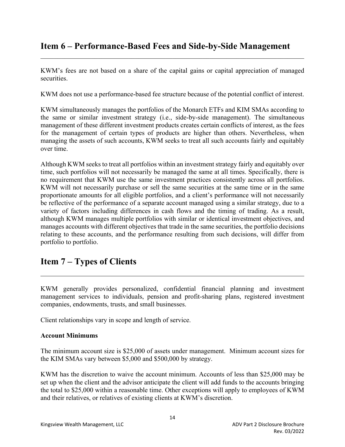## **Item 6 – Performance-Based Fees and Side-by-Side Management**

KWM's fees are not based on a share of the capital gains or capital appreciation of managed securities.

KWM does not use a performance-based fee structure because of the potential conflict of interest.

KWM simultaneously manages the portfolios of the Monarch ETFs and KIM SMAs according to the same or similar investment strategy (i.e., side-by-side management). The simultaneous management of these different investment products creates certain conflicts of interest, as the fees for the management of certain types of products are higher than others. Nevertheless, when managing the assets of such accounts, KWM seeks to treat all such accounts fairly and equitably over time.

Although KWM seeks to treat all portfolios within an investment strategy fairly and equitably over time, such portfolios will not necessarily be managed the same at all times. Specifically, there is no requirement that KWM use the same investment practices consistently across all portfolios. KWM will not necessarily purchase or sell the same securities at the same time or in the same proportionate amounts for all eligible portfolios, and a client's performance will not necessarily be reflective of the performance of a separate account managed using a similar strategy, due to a variety of factors including differences in cash flows and the timing of trading. As a result, although KWM manages multiple portfolios with similar or identical investment objectives, and manages accounts with different objectives that trade in the same securities, the portfolio decisions relating to these accounts, and the performance resulting from such decisions, will differ from portfolio to portfolio.

## **Item 7 – Types of Clients**

KWM generally provides personalized, confidential financial planning and investment management services to individuals, pension and profit-sharing plans, registered investment companies, endowments, trusts, and small businesses.

Client relationships vary in scope and length of service.

#### **Account Minimums**

l

The minimum account size is \$25,000 of assets under management. Minimum account sizes for the KIM SMAs vary between \$5,000 and \$500,000 by strategy.

KWM has the discretion to waive the account minimum. Accounts of less than \$25,000 may be set up when the client and the advisor anticipate the client will add funds to the accounts bringing the total to \$25,000 within a reasonable time. Other exceptions will apply to employees of KWM and their relatives, or relatives of existing clients at KWM's discretion.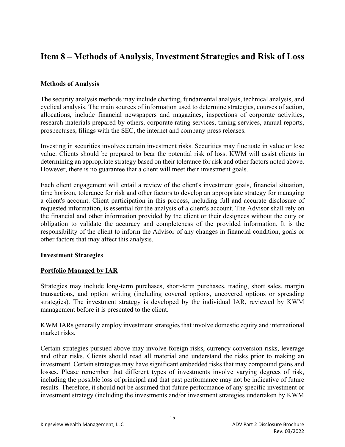## **Item 8 – Methods of Analysis, Investment Strategies and Risk of Loss**

### **Methods of Analysis**

l

The security analysis methods may include charting, fundamental analysis, technical analysis, and cyclical analysis. The main sources of information used to determine strategies, courses of action, allocations, include financial newspapers and magazines, inspections of corporate activities, research materials prepared by others, corporate rating services, timing services, annual reports, prospectuses, filings with the SEC, the internet and company press releases.

Investing in securities involves certain investment risks. Securities may fluctuate in value or lose value. Clients should be prepared to bear the potential risk of loss. KWM will assist clients in determining an appropriate strategy based on their tolerance for risk and other factors noted above. However, there is no guarantee that a client will meet their investment goals.

Each client engagement will entail a review of the client's investment goals, financial situation, time horizon, tolerance for risk and other factors to develop an appropriate strategy for managing a client's account. Client participation in this process, including full and accurate disclosure of requested information, is essential for the analysis of a client's account. The Advisor shall rely on the financial and other information provided by the client or their designees without the duty or obligation to validate the accuracy and completeness of the provided information. It is the responsibility of the client to inform the Advisor of any changes in financial condition, goals or other factors that may affect this analysis.

### **Investment Strategies**

### **Portfolio Managed by IAR**

Strategies may include long-term purchases, short-term purchases, trading, short sales, margin transactions, and option writing (including covered options, uncovered options or spreading strategies). The investment strategy is developed by the individual IAR, reviewed by KWM management before it is presented to the client.

KWM IARs generally employ investment strategies that involve domestic equity and international market risks.

Certain strategies pursued above may involve foreign risks, currency conversion risks, leverage and other risks. Clients should read all material and understand the risks prior to making an investment. Certain strategies may have significant embedded risks that may compound gains and losses. Please remember that different types of investments involve varying degrees of risk, including the possible loss of principal and that past performance may not be indicative of future results. Therefore, it should not be assumed that future performance of any specific investment or investment strategy (including the investments and/or investment strategies undertaken by KWM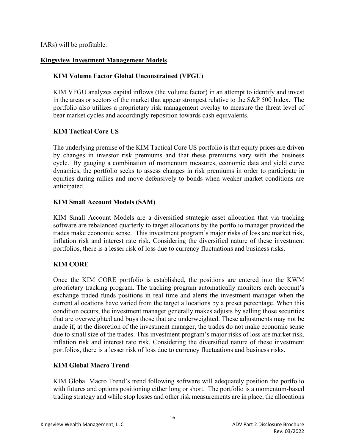IARs) will be profitable.

### **Kingsview Investment Management Models**

## **KIM Volume Factor Global Unconstrained (VFGU)**

KIM VFGU analyzes capital inflows (the volume factor) in an attempt to identify and invest in the areas or sectors of the market that appear strongest relative to the S&P 500 Index. The portfolio also utilizes a proprietary risk management overlay to measure the threat level of bear market cycles and accordingly reposition towards cash equivalents.

## **KIM Tactical Core US**

The underlying premise of the KIM Tactical Core US portfolio is that equity prices are driven by changes in investor risk premiums and that these premiums vary with the business cycle. By gauging a combination of momentum measures, economic data and yield curve dynamics, the portfolio seeks to assess changes in risk premiums in order to participate in equities during rallies and move defensively to bonds when weaker market conditions are anticipated.

## **KIM Small Account Models (SAM)**

KIM Small Account Models are a diversified strategic asset allocation that via tracking software are rebalanced quarterly to target allocations by the portfolio manager provided the trades make economic sense. This investment program's major risks of loss are market risk, inflation risk and interest rate risk. Considering the diversified nature of these investment portfolios, there is a lesser risk of loss due to currency fluctuations and business risks.

## **KIM CORE**

Once the KIM CORE portfolio is established, the positions are entered into the KWM proprietary tracking program. The tracking program automatically monitors each account's exchange traded funds positions in real time and alerts the investment manager when the current allocations have varied from the target allocations by a preset percentage. When this condition occurs, the investment manager generally makes adjusts by selling those securities that are overweighted and buys those that are underweighted. These adjustments may not be made if, at the discretion of the investment manager, the trades do not make economic sense due to small size of the trades. This investment program's major risks of loss are market risk, inflation risk and interest rate risk. Considering the diversified nature of these investment portfolios, there is a lesser risk of loss due to currency fluctuations and business risks.

### **KIM Global Macro Trend**

KIM Global Macro Trend's trend following software will adequately position the portfolio with futures and options positioning either long or short. The portfolio is a momentum-based trading strategy and while stop losses and other risk measurements are in place, the allocations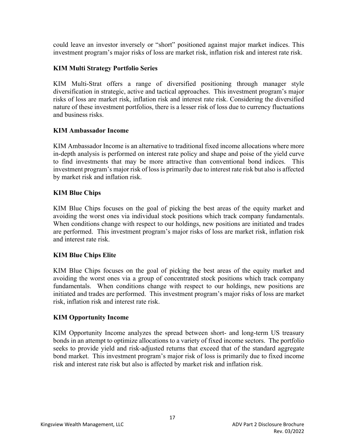could leave an investor inversely or "short" positioned against major market indices. This investment program's major risks of loss are market risk, inflation risk and interest rate risk.

## **KIM Multi Strategy Portfolio Series**

KIM Multi-Strat offers a range of diversified positioning through manager style diversification in strategic, active and tactical approaches. This investment program's major risks of loss are market risk, inflation risk and interest rate risk. Considering the diversified nature of these investment portfolios, there is a lesser risk of loss due to currency fluctuations and business risks.

### **KIM Ambassador Income**

KIM Ambassador Income is an alternative to traditional fixed income allocations where more in-depth analysis is performed on interest rate policy and shape and poise of the yield curve to find investments that may be more attractive than conventional bond indices. This investment program's major risk of loss is primarily due to interest rate risk but also is affected by market risk and inflation risk.

## **KIM Blue Chips**

KIM Blue Chips focuses on the goal of picking the best areas of the equity market and avoiding the worst ones via individual stock positions which track company fundamentals. When conditions change with respect to our holdings, new positions are initiated and trades are performed. This investment program's major risks of loss are market risk, inflation risk and interest rate risk.

### **KIM Blue Chips Elite**

KIM Blue Chips focuses on the goal of picking the best areas of the equity market and avoiding the worst ones via a group of concentrated stock positions which track company fundamentals. When conditions change with respect to our holdings, new positions are initiated and trades are performed. This investment program's major risks of loss are market risk, inflation risk and interest rate risk.

### **KIM Opportunity Income**

KIM Opportunity Income analyzes the spread between short- and long-term US treasury bonds in an attempt to optimize allocations to a variety of fixed income sectors. The portfolio seeks to provide yield and risk-adjusted returns that exceed that of the standard aggregate bond market. This investment program's major risk of loss is primarily due to fixed income risk and interest rate risk but also is affected by market risk and inflation risk.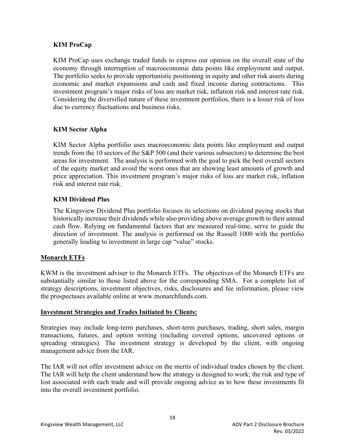### **KIM ProCap**

KIM ProCap uses exchange traded funds to express our opinion on the overall state of the economy through interruption of macroeconomic data points like employment and output. The portfolio seeks to provide opportunistic positioning in equity and other risk assets during economic and market expansions and cash and fixed income during contractions. This investment program's major risks of loss are market risk, inflation risk and interest rate risk. Considering the diversified nature of these investment portfolios, there is a lesser risk of loss due to currency fluctuations and business risks.

## **KIM Sector Alpha**

KIM Sector Alpha portfolio uses macroeconomic data points like employment and output trends from the 10 sectors of the S&P 500 (and their various subsectors) to determine the best areas for investment. The analysis is performed with the goal to pick the best overall sectors of the equity market and avoid the worst ones that are showing least amounts of growth and price appreciation. This investment program's major risks of loss are market risk, inflation risk and interest rate risk.

## **KIM Dividend Plus**

The Kingsview Dividend Plus portfolio focuses its selections on dividend paying stocks that historically increase their dividends while also providing above average growth to their annual cash flow. Relying on fundamental factors that are measured real-time, serve to guide the direction of investment. The analysis is performed on the Russell 1000 with the portfolio generally leading to investment in large cap "value" stocks.

### **Monarch ETFs**

KWM is the investment adviser to the Monarch ETFs. The objectives of the Monarch ETFs are substantially similar to those listed above for the corresponding SMA. For a complete list of strategy descriptions, investment objectives, risks, disclosures and fee information, please view the prospectuses available online at www.monarchfunds.com.

### **Investment Strategies and Trades Initiated by Clients:**

Strategies may include long-term purchases, short-term purchases, trading, short sales, margin transactions, futures, and option writing (including covered options, uncovered options or spreading strategies). The investment strategy is developed by the client, with ongoing management advice from the IAR.

The IAR will not offer investment advice on the merits of individual trades chosen by the client. The IAR will help the client understand how the strategy is designed to work; the risk and type of lost associated with each trade and will provide ongoing advice as to how these investments fit into the overall investment portfolio.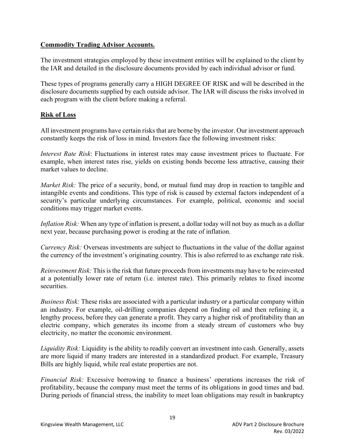### **Commodity Trading Advisor Accounts.**

The investment strategies employed by these investment entities will be explained to the client by the IAR and detailed in the disclosure documents provided by each individual advisor or fund.

These types of programs generally carry a HIGH DEGREE OF RISK and will be described in the disclosure documents supplied by each outside advisor. The IAR will discuss the risks involved in each program with the client before making a referral.

## **Risk of Loss**

All investment programs have certain risks that are borne by the investor. Our investment approach constantly keeps the risk of loss in mind. Investors face the following investment risks:

*Interest Rate Risk*: Fluctuations in interest rates may cause investment prices to fluctuate. For example, when interest rates rise, yields on existing bonds become less attractive, causing their market values to decline.

*Market Risk:* The price of a security, bond, or mutual fund may drop in reaction to tangible and intangible events and conditions. This type of risk is caused by external factors independent of a security's particular underlying circumstances. For example, political, economic and social conditions may trigger market events.

*Inflation Risk:* When any type of inflation is present, a dollar today will not buy as much as a dollar next year, because purchasing power is eroding at the rate of inflation.

*Currency Risk:* Overseas investments are subject to fluctuations in the value of the dollar against the currency of the investment's originating country. This is also referred to as exchange rate risk.

*Reinvestment Risk:* This is the risk that future proceeds from investments may have to be reinvested at a potentially lower rate of return (i.e. interest rate). This primarily relates to fixed income securities.

*Business Risk:* These risks are associated with a particular industry or a particular company within an industry. For example, oil-drilling companies depend on finding oil and then refining it, a lengthy process, before they can generate a profit. They carry a higher risk of profitability than an electric company, which generates its income from a steady stream of customers who buy electricity, no matter the economic environment.

*Liquidity Risk:* Liquidity is the ability to readily convert an investment into cash. Generally, assets are more liquid if many traders are interested in a standardized product. For example, Treasury Bills are highly liquid, while real estate properties are not.

*Financial Risk:* Excessive borrowing to finance a business' operations increases the risk of profitability, because the company must meet the terms of its obligations in good times and bad. During periods of financial stress, the inability to meet loan obligations may result in bankruptcy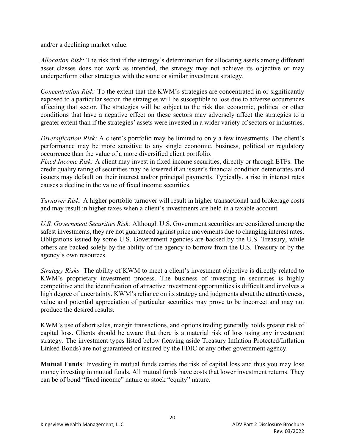and/or a declining market value.

*Allocation Risk:* The risk that if the strategy's determination for allocating assets among different asset classes does not work as intended, the strategy may not achieve its objective or may underperform other strategies with the same or similar investment strategy.

*Concentration Risk:* To the extent that the KWM's strategies are concentrated in or significantly exposed to a particular sector, the strategies will be susceptible to loss due to adverse occurrences affecting that sector. The strategies will be subject to the risk that economic, political or other conditions that have a negative effect on these sectors may adversely affect the strategies to a greater extent than if the strategies' assets were invested in a wider variety of sectors or industries.

*Diversification Risk:* A client's portfolio may be limited to only a few investments. The client's performance may be more sensitive to any single economic, business, political or regulatory occurrence than the value of a more diversified client portfolio.

*Fixed Income Risk:* A client may invest in fixed income securities, directly or through ETFs. The credit quality rating of securities may be lowered if an issuer's financial condition deteriorates and issuers may default on their interest and/or principal payments. Typically, a rise in interest rates causes a decline in the value of fixed income securities.

*Turnover Risk:* A higher portfolio turnover will result in higher transactional and brokerage costs and may result in higher taxes when a client's investments are held in a taxable account.

*U.S. Government Securities Risk:* Although U.S. Government securities are considered among the safest investments, they are not guaranteed against price movements due to changing interest rates. Obligations issued by some U.S. Government agencies are backed by the U.S. Treasury, while others are backed solely by the ability of the agency to borrow from the U.S. Treasury or by the agency's own resources.

*Strategy Risks:* The ability of KWM to meet a client's investment objective is directly related to KWM's proprietary investment process. The business of investing in securities is highly competitive and the identification of attractive investment opportunities is difficult and involves a high degree of uncertainty. KWM's reliance on its strategy and judgments about the attractiveness, value and potential appreciation of particular securities may prove to be incorrect and may not produce the desired results.

KWM's use of short sales, margin transactions, and options trading generally holds greater risk of capital loss. Clients should be aware that there is a material risk of loss using any investment strategy. The investment types listed below (leaving aside Treasury Inflation Protected/Inflation Linked Bonds) are not guaranteed or insured by the FDIC or any other government agency.

**Mutual Funds**: Investing in mutual funds carries the risk of capital loss and thus you may lose money investing in mutual funds. All mutual funds have costs that lower investment returns. They can be of bond "fixed income" nature or stock "equity" nature.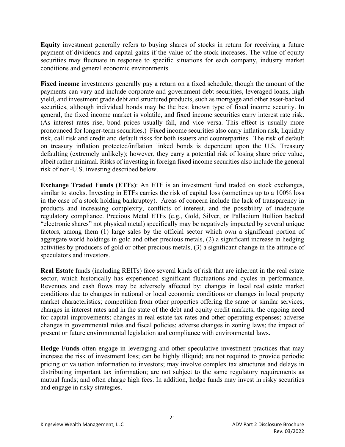**Equity** investment generally refers to buying shares of stocks in return for receiving a future payment of dividends and capital gains if the value of the stock increases. The value of equity securities may fluctuate in response to specific situations for each company, industry market conditions and general economic environments.

**Fixed income** investments generally pay a return on a fixed schedule, though the amount of the payments can vary and include corporate and government debt securities, leveraged loans, high yield, and investment grade debt and structured products, such as mortgage and other asset-backed securities, although individual bonds may be the best known type of fixed income security. In general, the fixed income market is volatile, and fixed income securities carry interest rate risk. (As interest rates rise, bond prices usually fall, and vice versa. This effect is usually more pronounced for longer-term securities.) Fixed income securities also carry inflation risk, liquidity risk, call risk and credit and default risks for both issuers and counterparties. The risk of default on treasury inflation protected/inflation linked bonds is dependent upon the U.S. Treasury defaulting (extremely unlikely); however, they carry a potential risk of losing share price value, albeit rather minimal. Risks of investing in foreign fixed income securities also include the general risk of non-U.S. investing described below.

**Exchange Traded Funds (ETFs)**: An ETF is an investment fund traded on stock exchanges, similar to stocks. Investing in ETFs carries the risk of capital loss (sometimes up to a 100% loss in the case of a stock holding bankruptcy). Areas of concern include the lack of transparency in products and increasing complexity, conflicts of interest, and the possibility of inadequate regulatory compliance. Precious Metal ETFs (e.g., Gold, Silver, or Palladium Bullion backed "electronic shares" not physical metal) specifically may be negatively impacted by several unique factors, among them (1) large sales by the official sector which own a significant portion of aggregate world holdings in gold and other precious metals, (2) a significant increase in hedging activities by producers of gold or other precious metals, (3) a significant change in the attitude of speculators and investors.

**Real Estate** funds (including REITs) face several kinds of risk that are inherent in the real estate sector, which historically has experienced significant fluctuations and cycles in performance. Revenues and cash flows may be adversely affected by: changes in local real estate market conditions due to changes in national or local economic conditions or changes in local property market characteristics; competition from other properties offering the same or similar services; changes in interest rates and in the state of the debt and equity credit markets; the ongoing need for capital improvements; changes in real estate tax rates and other operating expenses; adverse changes in governmental rules and fiscal policies; adverse changes in zoning laws; the impact of present or future environmental legislation and compliance with environmental laws.

**Hedge Funds** often engage in leveraging and other speculative investment practices that may increase the risk of investment loss; can be highly illiquid; are not required to provide periodic pricing or valuation information to investors; may involve complex tax structures and delays in distributing important tax information; are not subject to the same regulatory requirements as mutual funds; and often charge high fees. In addition, hedge funds may invest in risky securities and engage in risky strategies.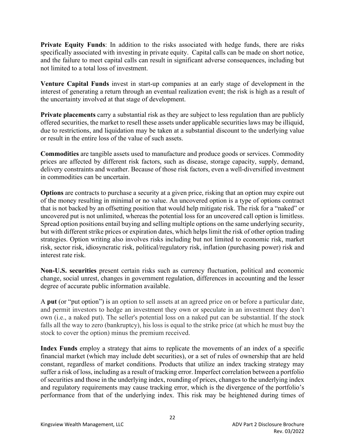**Private Equity Funds**: In addition to the risks associated with hedge funds, there are risks specifically associated with investing in private equity. Capital calls can be made on short notice, and the failure to meet capital calls can result in significant adverse consequences, including but not limited to a total loss of investment.

**Venture Capital Funds** invest in start-up companies at an early stage of development in the interest of generating a return through an eventual realization event; the risk is high as a result of the uncertainty involved at that stage of development.

**Private placements** carry a substantial risk as they are subject to less regulation than are publicly offered securities, the market to resell these assets under applicable securities laws may be illiquid, due to restrictions, and liquidation may be taken at a substantial discount to the underlying value or result in the entire loss of the value of such assets.

**Commodities** are tangible assets used to manufacture and produce goods or services. Commodity prices are affected by different risk factors, such as disease, storage capacity, supply, demand, delivery constraints and weather. Because of those risk factors, even a well-diversified investment in commodities can be uncertain.

**Options** are contracts to purchase a security at a given price, risking that an option may expire out of the money resulting in minimal or no value. An uncovered option is a type of options contract that is not backed by an offsetting position that would help mitigate risk. The risk for a "naked" or uncovered put is not unlimited, whereas the potential loss for an uncovered call option is limitless. Spread option positions entail buying and selling multiple options on the same underlying security, but with different strike prices or expiration dates, which helps limit the risk of other option trading strategies. Option writing also involves risks including but not limited to economic risk, market risk, sector risk, idiosyncratic risk, political/regulatory risk, inflation (purchasing power) risk and interest rate risk.

**Non-U.S. securities** present certain risks such as currency fluctuation, political and economic change, social unrest, changes in government regulation, differences in accounting and the lesser degree of accurate public information available.

A **put** (or "put option") is an option to sell assets at an agreed price on or before a particular date, and permit investors to hedge an investment they own or speculate in an investment they don't own (i.e., a naked put). The seller's potential loss on a naked put can be substantial. If the stock falls all the way to zero (bankruptcy), his loss is equal to the strike price (at which he must buy the stock to cover the option) minus the premium received.

**Index Funds** employ a strategy that aims to replicate the movements of an index of a specific financial market (which may include debt securities), or a set of rules of ownership that are held constant, regardless of market conditions. Products that utilize an index tracking strategy may suffer a risk of loss, including as a result of tracking error. Imperfect correlation between a portfolio of securities and those in the underlying index, rounding of prices, changes to the underlying index and regulatory requirements may cause tracking error, which is the divergence of the portfolio's performance from that of the underlying index. This risk may be heightened during times of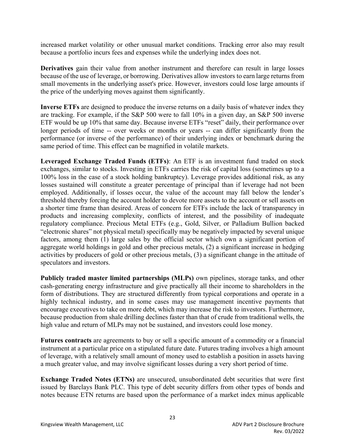increased market volatility or other unusual market conditions. Tracking error also may result because a portfolio incurs fees and expenses while the underlying index does not.

**Derivatives** gain their value from another instrument and therefore can result in large losses because of the use of leverage, or borrowing. Derivatives allow investors to earn large returns from small movements in the underlying asset's price. However, investors could lose large amounts if the price of the underlying moves against them significantly.

**Inverse ETFs** are designed to produce the inverse returns on a daily basis of whatever index they are tracking. For example, if the S&P 500 were to fall 10% in a given day, an S&P 500 inverse ETF would be up 10% that same day. Because inverse ETFs "reset" daily, their performance over longer periods of time -- over weeks or months or years -- can differ significantly from the performance (or inverse of the performance) of their underlying index or benchmark during the same period of time. This effect can be magnified in volatile markets.

**Leveraged Exchange Traded Funds (ETFs)**: An ETF is an investment fund traded on stock exchanges, similar to stocks. Investing in ETFs carries the risk of capital loss (sometimes up to a 100% loss in the case of a stock holding bankruptcy). Leverage provides additional risk, as any losses sustained will constitute a greater percentage of principal than if leverage had not been employed. Additionally, if losses occur, the value of the account may fall below the lender's threshold thereby forcing the account holder to devote more assets to the account or sell assets on a shorter time frame than desired. Areas of concern for ETFs include the lack of transparency in products and increasing complexity, conflicts of interest, and the possibility of inadequate regulatory compliance. Precious Metal ETFs (e.g., Gold, Silver, or Palladium Bullion backed "electronic shares" not physical metal) specifically may be negatively impacted by several unique factors, among them (1) large sales by the official sector which own a significant portion of aggregate world holdings in gold and other precious metals, (2) a significant increase in hedging activities by producers of gold or other precious metals, (3) a significant change in the attitude of speculators and investors.

**Publicly traded master limited partnerships (MLPs)** own pipelines, storage tanks, and other cash-generating energy infrastructure and give practically all their income to shareholders in the form of distributions. They are structured differently from typical corporations and operate in a highly technical industry, and in some cases may use management incentive payments that encourage executives to take on more debt, which may increase the risk to investors. Furthermore, because production from shale drilling declines faster than that of crude from traditional wells, the high value and return of MLPs may not be sustained, and investors could lose money.

**Futures contracts** are agreements to buy or sell a specific amount of a commodity or a financial instrument at a particular price on a stipulated future date. Futures trading involves a high amount of leverage, with a relatively small amount of money used to establish a position in assets having a much greater value, and may involve significant losses during a very short period of time.

**Exchange Traded Notes (ETNs)** are unsecured, unsubordinated debt securities that were first issued by Barclays Bank PLC. This type of debt security differs from other types of bonds and notes because ETN returns are based upon the performance of a market index minus applicable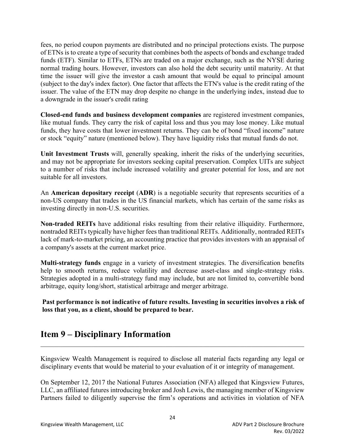fees, no period coupon payments are distributed and no principal protections exists. The purpose of ETNs is to create a type of security that combines both the aspects of bonds and exchange traded funds (ETF). Similar to ETFs, ETNs are traded on a major exchange, such as the NYSE during normal trading hours. However, investors can also hold the debt security until maturity. At that time the issuer will give the investor a cash amount that would be equal to principal amount (subject to the day's index factor). One factor that affects the ETN's value is the credit rating of the issuer. The value of the ETN may drop despite no change in the underlying index, instead due to a downgrade in the issuer's credit rating

**Closed-end funds and business development companies** are registered investment companies, like mutual funds. They carry the risk of capital loss and thus you may lose money. Like mutual funds, they have costs that lower investment returns. They can be of bond "fixed income" nature or stock "equity" nature (mentioned below). They have liquidity risks that mutual funds do not.

**Unit Investment Trusts** will, generally speaking, inherit the risks of the underlying securities, and may not be appropriate for investors seeking capital preservation. Complex UITs are subject to a number of risks that include increased volatility and greater potential for loss, and are not suitable for all investors.

An **American depositary receipt** (**ADR**) is a negotiable security that represents securities of a non-US company that trades in the US financial markets, which has certain of the same risks as investing directly in non-U.S. securities.

**Non-traded REITs** have additional risks resulting from their relative illiquidity. Furthermore, nontraded REITs typically have higher fees than traditional REITs. Additionally, nontraded REITs lack of mark-to-market pricing, an accounting practice that provides investors with an appraisal of a company's assets at the current market price.

**Multi-strategy funds** engage in a variety of investment strategies. The diversification benefits help to smooth returns, reduce volatility and decrease asset-class and single-strategy risks. Strategies adopted in a multi-strategy fund may include, but are not limited to, convertible bond arbitrage, equity long/short, statistical arbitrage and merger arbitrage.

**Past performance is not indicative of future results. Investing in securities involves a risk of loss that you, as a client, should be prepared to bear.** 

## **Item 9 – Disciplinary Information**

Kingsview Wealth Management is required to disclose all material facts regarding any legal or disciplinary events that would be material to your evaluation of it or integrity of management.

On September 12, 2017 the National Futures Association (NFA) alleged that Kingsview Futures, LLC, an affiliated futures introducing broker and Josh Lewis, the managing member of Kingsview Partners failed to diligently supervise the firm's operations and activities in violation of NFA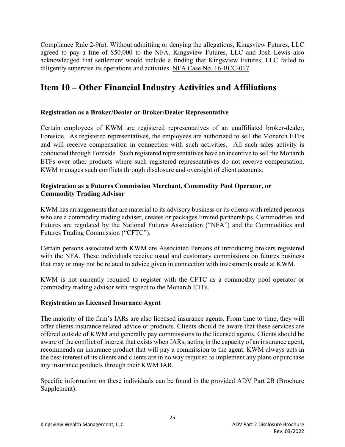Compliance Rule 2-9(a). Without admitting or denying the allegations, Kingsview Futures, LLC agreed to pay a fine of \$50,000 to the NFA. Kingsview Futures, LLC and Josh Lewis also acknowledged that settlement would include a finding that Kingsview Futures, LLC failed to diligently supervise its operations and activities. NFA Case No. 16-BCC-017

## **Item 10 – Other Financial Industry Activities and Affiliations**

#### **Registration as a Broker/Dealer or Broker/Dealer Representative**

Certain employees of KWM are registered representatives of an unaffiliated broker-dealer, Foreside. As registered representatives, the employees are authorized to sell the Monarch ETFs and will receive compensation in connection with such activities. All such sales activity is conducted through Foreside. Such registered representatives have an incentive to sell the Monarch ETFs over other products where such registered representatives do not receive compensation. KWM manages such conflicts through disclosure and oversight of client accounts.

#### **Registration as a Futures Commission Merchant, Commodity Pool Operator, or Commodity Trading Advisor**

KWM has arrangements that are material to its advisory business or its clients with related persons who are a commodity trading adviser, creates or packages limited partnerships. Commodities and Futures are regulated by the National Futures Association ("NFA") and the Commodities and Futures Trading Commission ("CFTC").

Certain persons associated with KWM are Associated Persons of introducing brokers registered with the NFA. These individuals receive usual and customary commissions on futures business that may or may not be related to advice given in connection with investments made at KWM.

KWM is not currently required to register with the CFTC as a commodity pool operator or commodity trading advisor with respect to the Monarch ETFs.

### **Registration as Licensed Insurance Agent**

The majority of the firm's IARs are also licensed insurance agents. From time to time, they will offer clients insurance related advice or products. Clients should be aware that these services are offered outside of KWM and generally pay commissions to the licensed agents. Clients should be aware of the conflict of interest that exists when IARs, acting in the capacity of an insurance agent, recommends an insurance product that will pay a commission to the agent. KWM always acts in the best interest of its clients and clients are in no way required to implement any plans or purchase any insurance products through their KWM IAR.

Specific information on these individuals can be found in the provided ADV Part 2B (Brochure Supplement).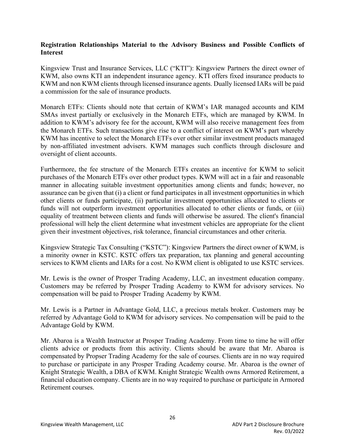#### **Registration Relationships Material to the Advisory Business and Possible Conflicts of Interest**

Kingsview Trust and Insurance Services, LLC ("KTI"): Kingsview Partners the direct owner of KWM, also owns KTI an independent insurance agency. KTI offers fixed insurance products to KWM and non KWM clients through licensed insurance agents. Dually licensed IARs will be paid a commission for the sale of insurance products.

Monarch ETFs: Clients should note that certain of KWM's IAR managed accounts and KIM SMAs invest partially or exclusively in the Monarch ETFs, which are managed by KWM. In addition to KWM's advisory fee for the account, KWM will also receive management fees from the Monarch ETFs. Such transactions give rise to a conflict of interest on KWM's part whereby KWM has incentive to select the Monarch ETFs over other similar investment products managed by non-affiliated investment advisers. KWM manages such conflicts through disclosure and oversight of client accounts.

Furthermore, the fee structure of the Monarch ETFs creates an incentive for KWM to solicit purchases of the Monarch ETFs over other product types. KWM will act in a fair and reasonable manner in allocating suitable investment opportunities among clients and funds; however, no assurance can be given that (i) a client or fund participates in all investment opportunities in which other clients or funds participate, (ii) particular investment opportunities allocated to clients or funds will not outperform investment opportunities allocated to other clients or funds, or (iii) equality of treatment between clients and funds will otherwise be assured. The client's financial professional will help the client determine what investment vehicles are appropriate for the client given their investment objectives, risk tolerance, financial circumstances and other criteria.

Kingsview Strategic Tax Consulting ("KSTC"): Kingsview Partners the direct owner of KWM, is a minority owner in KSTC. KSTC offers tax preparation, tax planning and general accounting services to KWM clients and IARs for a cost. No KWM client is obligated to use KSTC services.

Mr. Lewis is the owner of Prosper Trading Academy, LLC, an investment education company. Customers may be referred by Prosper Trading Academy to KWM for advisory services. No compensation will be paid to Prosper Trading Academy by KWM.

Mr. Lewis is a Partner in Advantage Gold, LLC, a precious metals broker. Customers may be referred by Advantage Gold to KWM for advisory services. No compensation will be paid to the Advantage Gold by KWM.

Mr. Abaroa is a Wealth Instructor at Prosper Trading Academy. From time to time he will offer clients advice or products from this activity. Clients should be aware that Mr. Abaroa is compensated by Propser Trading Academy for the sale of courses. Clients are in no way required to purchase or participate in any Prosper Trading Academy course. Mr. Abaroa is the owner of Knight Strategic Wealth, a DBA of KWM. Knight Strategic Wealth owns Armored Retirement, a financial education company. Clients are in no way required to purchase or participate in Armored Retirement courses.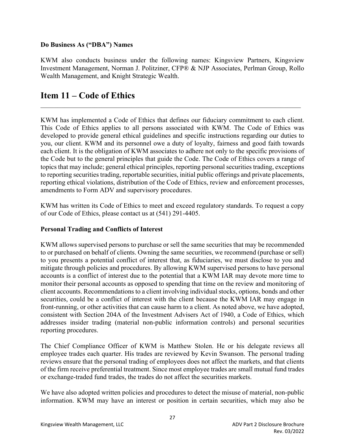### **Do Business As ("DBA") Names**

KWM also conducts business under the following names: Kingsview Partners, Kingsview Investment Management, Norman J. Politziner, CFP® & NJP Associates, Perlman Group, Rollo Wealth Management, and Knight Strategic Wealth.

## **Item 11 – Code of Ethics**

KWM has implemented a Code of Ethics that defines our fiduciary commitment to each client. This Code of Ethics applies to all persons associated with KWM. The Code of Ethics was developed to provide general ethical guidelines and specific instructions regarding our duties to you, our client. KWM and its personnel owe a duty of loyalty, fairness and good faith towards each client. It is the obligation of KWM associates to adhere not only to the specific provisions of the Code but to the general principles that guide the Code. The Code of Ethics covers a range of topics that may include; general ethical principles, reporting personal securities trading, exceptions to reporting securities trading, reportable securities, initial public offerings and private placements, reporting ethical violations, distribution of the Code of Ethics, review and enforcement processes, amendments to Form ADV and supervisory procedures.

KWM has written its Code of Ethics to meet and exceed regulatory standards. To request a copy of our Code of Ethics, please contact us at (541) 291-4405.

### **Personal Trading and Conflicts of Interest**

KWM allows supervised persons to purchase or sell the same securities that may be recommended to or purchased on behalf of clients. Owning the same securities, we recommend (purchase or sell) to you presents a potential conflict of interest that, as fiduciaries, we must disclose to you and mitigate through policies and procedures. By allowing KWM supervised persons to have personal accounts is a conflict of interest due to the potential that a KWM IAR may devote more time to monitor their personal accounts as opposed to spending that time on the review and monitoring of client accounts. Recommendations to a client involving individual stocks, options, bonds and other securities, could be a conflict of interest with the client because the KWM IAR may engage in front-running, or other activities that can cause harm to a client. As noted above, we have adopted, consistent with Section 204A of the Investment Advisers Act of 1940, a Code of Ethics, which addresses insider trading (material non-public information controls) and personal securities reporting procedures.

The Chief Compliance Officer of KWM is Matthew Stolen. He or his delegate reviews all employee trades each quarter. His trades are reviewed by Kevin Swanson. The personal trading reviews ensure that the personal trading of employees does not affect the markets, and that clients of the firm receive preferential treatment. Since most employee trades are small mutual fund trades or exchange-traded fund trades, the trades do not affect the securities markets.

We have also adopted written policies and procedures to detect the misuse of material, non-public information. KWM may have an interest or position in certain securities, which may also be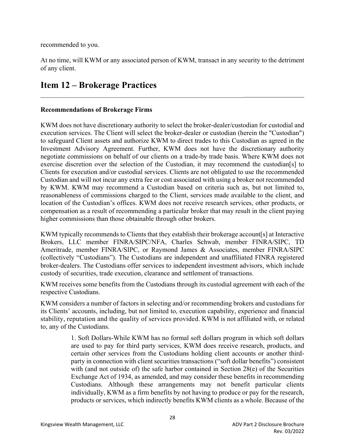recommended to you.

At no time, will KWM or any associated person of KWM, transact in any security to the detriment of any client.

 $\mathcal{L}_\text{max}$  and  $\mathcal{L}_\text{max}$  and  $\mathcal{L}_\text{max}$  and  $\mathcal{L}_\text{max}$  and  $\mathcal{L}_\text{max}$ 

## **Item 12 – Brokerage Practices**

#### **Recommendations of Brokerage Firms**

KWM does not have discretionary authority to select the broker-dealer/custodian for custodial and execution services. The Client will select the broker-dealer or custodian (herein the "Custodian") to safeguard Client assets and authorize KWM to direct trades to this Custodian as agreed in the Investment Advisory Agreement. Further, KWM does not have the discretionary authority negotiate commissions on behalf of our clients on a trade-by trade basis. Where KWM does not exercise discretion over the selection of the Custodian, it may recommend the custodian[s] to Clients for execution and/or custodial services. Clients are not obligated to use the recommended Custodian and will not incur any extra fee or cost associated with using a broker not recommended by KWM. KWM may recommend a Custodian based on criteria such as, but not limited to, reasonableness of commissions charged to the Client, services made available to the client, and location of the Custodian's offices. KWM does not receive research services, other products, or compensation as a result of recommending a particular broker that may result in the client paying higher commissions than those obtainable through other brokers.

KWM typically recommends to Clients that they establish their brokerage account[s] at Interactive Brokers, LLC member FINRA/SIPC/NFA, Charles Schwab, member FINRA/SIPC, TD Ameritrade, member FINRA/SIPC, or Raymond James & Associates, member FINRA/SIPC (collectively "Custodians"). The Custodians are independent and unaffiliated FINRA registered broker-dealers. The Custodians offer services to independent investment advisors, which include custody of securities, trade execution, clearance and settlement of transactions.

KWM receives some benefits from the Custodians through its custodial agreement with each of the respective Custodians.

KWM considers a number of factors in selecting and/or recommending brokers and custodians for its Clients' accounts, including, but not limited to, execution capability, experience and financial stability, reputation and the quality of services provided. KWM is not affiliated with, or related to, any of the Custodians.

> 1. Soft Dollars-While KWM has no formal soft dollars program in which soft dollars are used to pay for third party services, KWM does receive research, products, and certain other services from the Custodians holding client accounts or another thirdparty in connection with client securities transactions ("soft dollar benefits") consistent with (and not outside of) the safe harbor contained in Section 28(e) of the Securities Exchange Act of 1934, as amended, and may consider these benefits in recommending Custodians. Although these arrangements may not benefit particular clients individually, KWM as a firm benefits by not having to produce or pay for the research, products or services, which indirectly benefits KWM clients as a whole. Because of the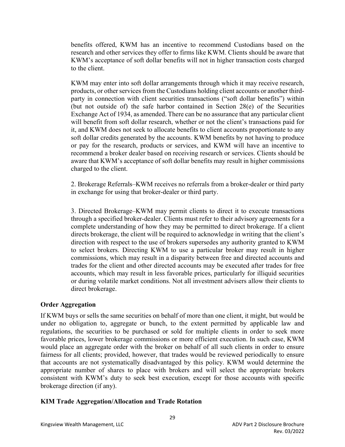benefits offered, KWM has an incentive to recommend Custodians based on the research and other services they offer to firms like KWM. Clients should be aware that KWM's acceptance of soft dollar benefits will not in higher transaction costs charged to the client.

KWM may enter into soft dollar arrangements through which it may receive research, products, or other services from the Custodians holding client accounts or another thirdparty in connection with client securities transactions ("soft dollar benefits") within (but not outside of) the safe harbor contained in Section 28(e) of the Securities Exchange Act of 1934, as amended. There can be no assurance that any particular client will benefit from soft dollar research, whether or not the client's transactions paid for it, and KWM does not seek to allocate benefits to client accounts proportionate to any soft dollar credits generated by the accounts. KWM benefits by not having to produce or pay for the research, products or services, and KWM will have an incentive to recommend a broker dealer based on receiving research or services. Clients should be aware that KWM's acceptance of soft dollar benefits may result in higher commissions charged to the client.

2. Brokerage Referrals–KWM receives no referrals from a broker-dealer or third party in exchange for using that broker-dealer or third party.

3. Directed Brokerage–KWM may permit clients to direct it to execute transactions through a specified broker-dealer. Clients must refer to their advisory agreements for a complete understanding of how they may be permitted to direct brokerage. If a client directs brokerage, the client will be required to acknowledge in writing that the client's direction with respect to the use of brokers supersedes any authority granted to KWM to select brokers. Directing KWM to use a particular broker may result in higher commissions, which may result in a disparity between free and directed accounts and trades for the client and other directed accounts may be executed after trades for free accounts, which may result in less favorable prices, particularly for illiquid securities or during volatile market conditions. Not all investment advisers allow their clients to direct brokerage.

### **Order Aggregation**

If KWM buys or sells the same securities on behalf of more than one client, it might, but would be under no obligation to, aggregate or bunch, to the extent permitted by applicable law and regulations, the securities to be purchased or sold for multiple clients in order to seek more favorable prices, lower brokerage commissions or more efficient execution. In such case, KWM would place an aggregate order with the broker on behalf of all such clients in order to ensure fairness for all clients; provided, however, that trades would be reviewed periodically to ensure that accounts are not systematically disadvantaged by this policy. KWM would determine the appropriate number of shares to place with brokers and will select the appropriate brokers consistent with KWM's duty to seek best execution, except for those accounts with specific brokerage direction (if any).

#### **KIM Trade Aggregation/Allocation and Trade Rotation**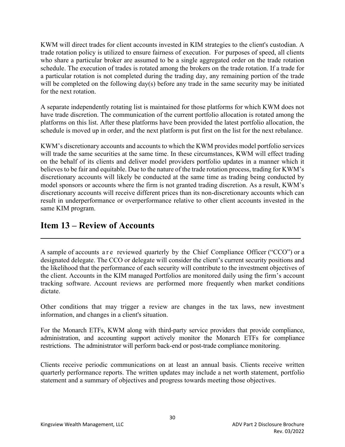KWM will direct trades for client accounts invested in KIM strategies to the client's custodian. A trade rotation policy is utilized to ensure fairness of execution. For purposes of speed, all clients who share a particular broker are assumed to be a single aggregated order on the trade rotation schedule. The execution of trades is rotated among the brokers on the trade rotation. If a trade for a particular rotation is not completed during the trading day, any remaining portion of the trade will be completed on the following day(s) before any trade in the same security may be initiated for the next rotation.

A separate independently rotating list is maintained for those platforms for which KWM does not have trade discretion. The communication of the current portfolio allocation is rotated among the platforms on this list. After these platforms have been provided the latest portfolio allocation, the schedule is moved up in order, and the next platform is put first on the list for the next rebalance.

KWM's discretionary accounts and accounts to which the KWM provides model portfolio services will trade the same securities at the same time. In these circumstances, KWM will effect trading on the behalf of its clients and deliver model providers portfolio updates in a manner which it believes to be fair and equitable. Due to the nature of the trade rotation process, trading for KWM's discretionary accounts will likely be conducted at the same time as trading being conducted by model sponsors or accounts where the firm is not granted trading discretion. As a result, KWM's discretionary accounts will receive different prices than its non-discretionary accounts which can result in underperformance or overperformance relative to other client accounts invested in the same KIM program.

## **Item 13 – Review of Accounts**

A sample of accounts a r e reviewed quarterly by the Chief Compliance Officer ("CCO") or a designated delegate. The CCO or delegate will consider the client's current security positions and the likelihood that the performance of each security will contribute to the investment objectives of the client. Accounts in the KIM managed Portfolios are monitored daily using the firm's account tracking software. Account reviews are performed more frequently when market conditions dictate.

 **\_\_\_\_\_** 

Other conditions that may trigger a review are changes in the tax laws, new investment information, and changes in a client's situation.

For the Monarch ETFs, KWM along with third-party service providers that provide compliance, administration, and accounting support actively monitor the Monarch ETFs for compliance restrictions. The administrator will perform back-end or post-trade compliance monitoring.

Clients receive periodic communications on at least an annual basis. Clients receive written quarterly performance reports. The written updates may include a net worth statement, portfolio statement and a summary of objectives and progress towards meeting those objectives.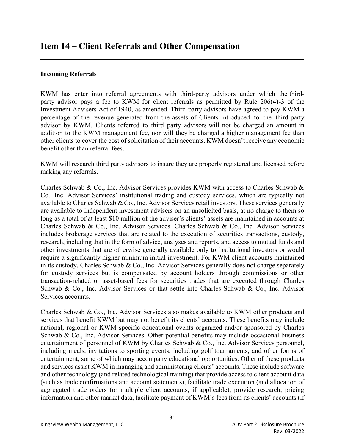#### **Incoming Referrals**

 $\overline{a}$ 

KWM has enter into referral agreements with third-party advisors under which the thirdparty advisor pays a fee to KWM for client referrals as permitted by Rule 206(4)-3 of the Investment Advisers Act of 1940, as amended. Third-party advisors have agreed to pay KWM a percentage of the revenue generated from the assets of Clients introduced to the third-party advisor by KWM. Clients referred to third party advisors will not be charged an amount in addition to the KWM management fee, nor will they be charged a higher management fee than other clients to cover the cost of solicitation of their accounts. KWM doesn't receive any economic benefit other than referral fees.

KWM will research third party advisors to insure they are properly registered and licensed before making any referrals.

Charles Schwab & Co., Inc. Advisor Services provides KWM with access to Charles Schwab & Co., Inc. Advisor Services' institutional trading and custody services, which are typically not available to Charles Schwab & Co., Inc. Advisor Services retail investors. These services generally are available to independent investment advisers on an unsolicited basis, at no charge to them so long as a total of at least \$10 million of the adviser's clients' assets are maintained in accounts at Charles Schwab & Co., Inc. Advisor Services. Charles Schwab & Co., Inc. Advisor Services includes brokerage services that are related to the execution of securities transactions, custody, research, including that in the form of advice, analyses and reports, and access to mutual funds and other investments that are otherwise generally available only to institutional investors or would require a significantly higher minimum initial investment. For KWM client accounts maintained in its custody, Charles Schwab & Co., Inc. Advisor Services generally does not charge separately for custody services but is compensated by account holders through commissions or other transaction-related or asset-based fees for securities trades that are executed through Charles Schwab & Co., Inc. Advisor Services or that settle into Charles Schwab & Co., Inc. Advisor Services accounts.

Charles Schwab & Co., Inc. Advisor Services also makes available to KWM other products and services that benefit KWM but may not benefit its clients' accounts. These benefits may include national, regional or KWM specific educational events organized and/or sponsored by Charles Schwab & Co., Inc. Advisor Services. Other potential benefits may include occasional business entertainment of personnel of KWM by Charles Schwab & Co., Inc. Advisor Services personnel, including meals, invitations to sporting events, including golf tournaments, and other forms of entertainment, some of which may accompany educational opportunities. Other of these products and services assist KWM in managing and administering clients' accounts. These include software and other technology (and related technological training) that provide access to client account data (such as trade confirmations and account statements), facilitate trade execution (and allocation of aggregated trade orders for multiple client accounts, if applicable), provide research, pricing information and other market data, facilitate payment of KWM's fees from its clients' accounts (if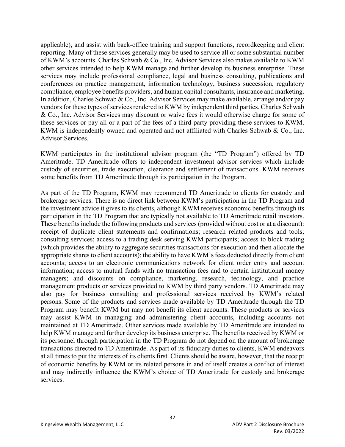applicable), and assist with back-office training and support functions, recordkeeping and client reporting. Many of these services generally may be used to service all or some substantial number of KWM's accounts. Charles Schwab & Co., Inc. Advisor Services also makes available to KWM other services intended to help KWM manage and further develop its business enterprise. These services may include professional compliance, legal and business consulting, publications and conferences on practice management, information technology, business succession, regulatory compliance, employee benefits providers, and human capital consultants, insurance and marketing. In addition, Charles Schwab & Co., Inc. Advisor Services may make available, arrange and/or pay vendors for these types of services rendered to KWM by independent third parties. Charles Schwab & Co., Inc. Advisor Services may discount or waive fees it would otherwise charge for some of these services or pay all or a part of the fees of a third-party providing these services to KWM. KWM is independently owned and operated and not affiliated with Charles Schwab & Co., Inc. Advisor Services.

KWM participates in the institutional advisor program (the "TD Program") offered by TD Ameritrade. TD Ameritrade offers to independent investment advisor services which include custody of securities, trade execution, clearance and settlement of transactions. KWM receives some benefits from TD Ameritrade through its participation in the Program.

As part of the TD Program, KWM may recommend TD Ameritrade to clients for custody and brokerage services. There is no direct link between KWM's participation in the TD Program and the investment advice it gives to its clients, although KWM receives economic benefits through its participation in the TD Program that are typically not available to TD Ameritrade retail investors. These benefits include the following products and services (provided without cost or at a discount): receipt of duplicate client statements and confirmations; research related products and tools; consulting services; access to a trading desk serving KWM participants; access to block trading (which provides the ability to aggregate securities transactions for execution and then allocate the appropriate shares to client accounts); the ability to have KWM's fees deducted directly from client accounts; access to an electronic communications network for client order entry and account information; access to mutual funds with no transaction fees and to certain institutional money managers; and discounts on compliance, marketing, research, technology, and practice management products or services provided to KWM by third party vendors. TD Ameritrade may also pay for business consulting and professional services received by KWM's related persons. Some of the products and services made available by TD Ameritrade through the TD Program may benefit KWM but may not benefit its client accounts. These products or services may assist KWM in managing and administering client accounts, including accounts not maintained at TD Ameritrade. Other services made available by TD Ameritrade are intended to help KWM manage and further develop its business enterprise. The benefits received by KWM or its personnel through participation in the TD Program do not depend on the amount of brokerage transactions directed to TD Ameritrade. As part of its fiduciary duties to clients, KWM endeavors at all times to put the interests of its clients first. Clients should be aware, however, that the receipt of economic benefits by KWM or its related persons in and of itself creates a conflict of interest and may indirectly influence the KWM's choice of TD Ameritrade for custody and brokerage services.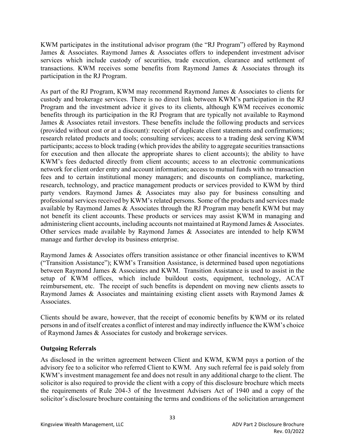KWM participates in the institutional advisor program (the "RJ Program") offered by Raymond James & Associates. Raymond James & Associates offers to independent investment advisor services which include custody of securities, trade execution, clearance and settlement of transactions. KWM receives some benefits from Raymond James & Associates through its participation in the RJ Program.

As part of the RJ Program, KWM may recommend Raymond James & Associates to clients for custody and brokerage services. There is no direct link between KWM's participation in the RJ Program and the investment advice it gives to its clients, although KWM receives economic benefits through its participation in the RJ Program that are typically not available to Raymond James & Associates retail investors. These benefits include the following products and services (provided without cost or at a discount): receipt of duplicate client statements and confirmations; research related products and tools; consulting services; access to a trading desk serving KWM participants; access to block trading (which provides the ability to aggregate securities transactions for execution and then allocate the appropriate shares to client accounts); the ability to have KWM's fees deducted directly from client accounts; access to an electronic communications network for client order entry and account information; access to mutual funds with no transaction fees and to certain institutional money managers; and discounts on compliance, marketing, research, technology, and practice management products or services provided to KWM by third party vendors. Raymond James & Associates may also pay for business consulting and professional services received by KWM's related persons. Some of the products and services made available by Raymond James & Associates through the RJ Program may benefit KWM but may not benefit its client accounts. These products or services may assist KWM in managing and administering client accounts, including accounts not maintained at Raymond James & Associates. Other services made available by Raymond James & Associates are intended to help KWM manage and further develop its business enterprise.

Raymond James & Associates offers transition assistance or other financial incentives to KWM ("Transition Assistance"); KWM's Transition Assistance, is determined based upon negotiations between Raymond James & Associates and KWM. Transition Assistance is used to assist in the setup of KWM offices, which include buildout costs, equipment, technology, ACAT reimbursement, etc. The receipt of such benefits is dependent on moving new clients assets to Raymond James & Associates and maintaining existing client assets with Raymond James & Associates.

Clients should be aware, however, that the receipt of economic benefits by KWM or its related persons in and of itself creates a conflict of interest and may indirectly influence the KWM's choice of Raymond James & Associates for custody and brokerage services.

### **Outgoing Referrals**

As disclosed in the written agreement between Client and KWM, KWM pays a portion of the advisory fee to a solicitor who referred Client to KWM. Any such referral fee is paid solely from KWM's investment management fee and does not result in any additional charge to the client. The solicitor is also required to provide the client with a copy of this disclosure brochure which meets the requirements of Rule 204-3 of the Investment Advisers Act of 1940 and a copy of the solicitor's disclosure brochure containing the terms and conditions of the solicitation arrangement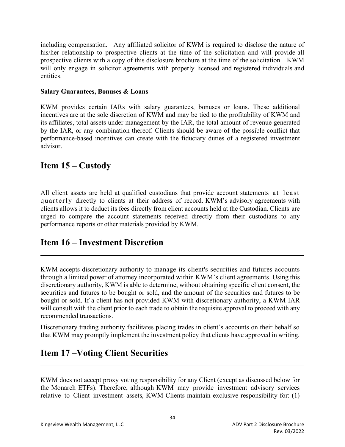including compensation. Any affiliated solicitor of KWM is required to disclose the nature of his/her relationship to prospective clients at the time of the solicitation and will provide all prospective clients with a copy of this disclosure brochure at the time of the solicitation. KWM will only engage in solicitor agreements with properly licensed and registered individuals and entities.

#### **Salary Guarantees, Bonuses & Loans**

KWM provides certain IARs with salary guarantees, bonuses or loans. These additional incentives are at the sole discretion of KWM and may be tied to the profitability of KWM and its affiliates, total assets under management by the IAR, the total amount of revenue generated by the IAR, or any combination thereof. Clients should be aware of the possible conflict that performance-based incentives can create with the fiduciary duties of a registered investment advisor.

## **Item 15 – Custody**

All client assets are held at qualified custodians that provide account statements at least quarterly directly to clients at their address of record. KWM's advisory agreements with clients allows it to deduct its fees directly from client accounts held at the Custodian. Clients are urged to compare the account statements received directly from their custodians to any performance reports or other materials provided by KWM.

## **Item 16 – Investment Discretion**  l

KWM accepts discretionary authority to manage its client's securities and futures accounts through a limited power of attorney incorporated within KWM's client agreements. Using this discretionary authority, KWM is able to determine, without obtaining specific client consent, the securities and futures to be bought or sold, and the amount of the securities and futures to be bought or sold. If a client has not provided KWM with discretionary authority, a KWM IAR will consult with the client prior to each trade to obtain the requisite approval to proceed with any recommended transactions.

Discretionary trading authority facilitates placing trades in client's accounts on their behalf so that KWM may promptly implement the investment policy that clients have approved in writing.

## **Item 17 –Voting Client Securities**  l

KWM does not accept proxy voting responsibility for any Client (except as discussed below for the Monarch ETFs). Therefore, although KWM may provide investment advisory services relative to Client investment assets, KWM Clients maintain exclusive responsibility for: (1)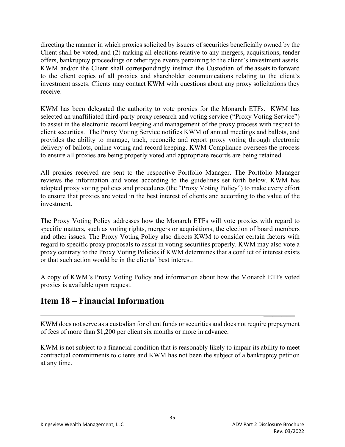directing the manner in which proxies solicited by issuers of securities beneficially owned by the Client shall be voted, and (2) making all elections relative to any mergers, acquisitions, tender offers, bankruptcy proceedings or other type events pertaining to the client's investment assets. KWM and/or the Client shall correspondingly instruct the Custodian of the assets to forward to the client copies of all proxies and shareholder communications relating to the client's investment assets. Clients may contact KWM with questions about any proxy solicitations they receive.

KWM has been delegated the authority to vote proxies for the Monarch ETFs. KWM has selected an unaffiliated third-party proxy research and voting service ("Proxy Voting Service") to assist in the electronic record keeping and management of the proxy process with respect to client securities. The Proxy Voting Service notifies KWM of annual meetings and ballots, and provides the ability to manage, track, reconcile and report proxy voting through electronic delivery of ballots, online voting and record keeping. KWM Compliance oversees the process to ensure all proxies are being properly voted and appropriate records are being retained.

All proxies received are sent to the respective Portfolio Manager. The Portfolio Manager reviews the information and votes according to the guidelines set forth below. KWM has adopted proxy voting policies and procedures (the "Proxy Voting Policy") to make every effort to ensure that proxies are voted in the best interest of clients and according to the value of the investment.

The Proxy Voting Policy addresses how the Monarch ETFs will vote proxies with regard to specific matters, such as voting rights, mergers or acquisitions, the election of board members and other issues. The Proxy Voting Policy also directs KWM to consider certain factors with regard to specific proxy proposals to assist in voting securities properly. KWM may also vote a proxy contrary to the Proxy Voting Policies if KWM determines that a conflict of interest exists or that such action would be in the clients' best interest.

A copy of KWM's Proxy Voting Policy and information about how the Monarch ETFs voted proxies is available upon request.

## **Item 18 – Financial Information**

KWM does not serve as a custodian for client funds or securities and does not require prepayment of fees of more than \$1,200 per client six months or more in advance.

 $\mathcal{L}_\text{max}$  and  $\mathcal{L}_\text{max}$  are the set of the set of the set of the set of the set of the set of the set of the set of the set of the set of the set of the set of the set of the set of the set of the set of the set o

KWM is not subject to a financial condition that is reasonably likely to impair its ability to meet contractual commitments to clients and KWM has not been the subject of a bankruptcy petition at any time.